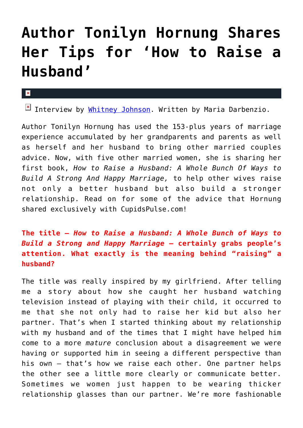## **[Author Tonilyn Hornung Shares](https://cupidspulse.com/72258/author-tonilyn-hornung-awarenesshuge-component-good-communication/) [Her Tips for 'How to Raise a](https://cupidspulse.com/72258/author-tonilyn-hornung-awarenesshuge-component-good-communication/) [Husband'](https://cupidspulse.com/72258/author-tonilyn-hornung-awarenesshuge-component-good-communication/)**

## $\mathbf{x}$

 $\boxed{\times}$  Interview by [Whitney Johnson.](http://cupidspulse.com/104601/whitney-johnson/) Written by Maria Darbenzio.

Author Tonilyn Hornung has used the 153-plus years of marriage experience accumulated by her grandparents and parents as well as herself and her husband to bring other married couples advice. Now, with five other married women, she is sharing her first book, *How to Raise a Husband: A Whole Bunch Of Ways to Build A Strong And Happy Marriage,* to help other wives raise not only a better husband but also build a stronger relationship. Read on for some of the advice that Hornung shared exclusively with CupidsPulse.com!

**The title —** *How to Raise a Husband: A Whole Bunch of Ways to Build a Strong and Happy Marriage* **— certainly grabs people's attention. What exactly is the meaning behind "raising" a husband?**

The title was really inspired by my girlfriend. After telling me a story about how she caught her husband watching television instead of playing with their child, it occurred to me that she not only had to raise her kid but also her partner. That's when I started thinking about my relationship with my husband and of the times that I might have helped him come to a more *mature* conclusion about a disagreement we were having or supported him in seeing a different perspective than his own — that's how we raise each other. One partner helps the other see a little more clearly or communicate better. Sometimes we women just happen to be wearing thicker relationship glasses than our partner. We're more fashionable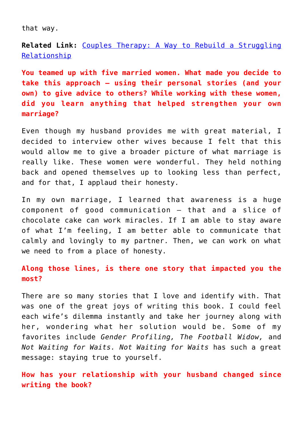that way.

**Related Link:** [Couples Therapy: A Way to Rebuild a Struggling](http://cupidspulse.com/couples-therapy-rebuild-relationship/) [Relationship](http://cupidspulse.com/couples-therapy-rebuild-relationship/)

**You teamed up with five married women. What made you decide to take this approach — using their personal stories (and your own) to give advice to others? While working with these women, did you learn anything that helped strengthen your own marriage?**

Even though my husband provides me with great material, I decided to interview other wives because I felt that this would allow me to give a broader picture of what marriage is really like. These women were wonderful. They held nothing back and opened themselves up to looking less than perfect, and for that, I applaud their honesty.

In my own marriage, I learned that awareness is a huge component of good communication — that and a slice of chocolate cake can work miracles. If I am able to stay aware of what I'm feeling, I am better able to communicate that calmly and lovingly to my partner. Then, we can work on what we need to from a place of honesty.

**Along those lines, is there one story that impacted you the most?** 

There are so many stories that I love and identify with. That was one of the great joys of writing this book. I could feel each wife's dilemma instantly and take her journey along with her, wondering what her solution would be. Some of my favorites include *Gender Profiling, The Football Widow,* and *Not Waiting for Waits. Not Waiting for Waits* has such a great message: staying true to yourself.

**How has your relationship with your husband changed since writing the book?**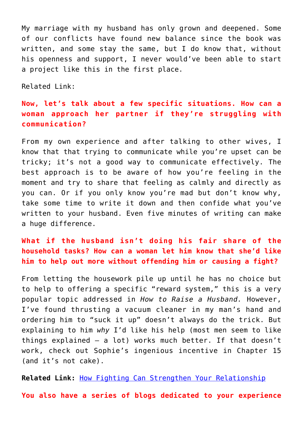My marriage with my husband has only grown and deepened. Some of our conflicts have found new balance since the book was written, and some stay the same, but I do know that, without his openness and support, I never would've been able to start a project like this in the first place.

Related Link:

## **Now, let's talk about a few specific situations. How can a woman approach her partner if they're struggling with communication?**

From my own experience and after talking to other wives, I know that that trying to communicate while you're upset can be tricky; it's not a good way to communicate effectively. The best approach is to be aware of how you're feeling in the moment and try to share that feeling as calmly and directly as you can. Or if you only know you're mad but don't know why, take some time to write it down and then confide what you've written to your husband. Even five minutes of writing can make a huge difference.

## **What if the husband isn't doing his fair share of the household tasks? How can a woman let him know that she'd like him to help out more without offending him or causing a fight?**

From letting the housework pile up until he has no choice but to help to offering a specific "reward system," this is a very popular topic addressed in *How to Raise a Husband.* However, I've found thrusting a vacuum cleaner in my man's hand and ordering him to "suck it up" doesn't always do the trick. But explaining to him *why* I'd like his help (most men seem to like things explained — a lot) works much better. If that doesn't work, check out Sophie's ingenious incentive in Chapter 15 (and it's not cake).

**Related Link:** [How Fighting Can Strengthen Your Relationship](http://cupidspulse.com/fighting-can-stregthen-your-relationship/)

**You also have a series of blogs dedicated to your experience**